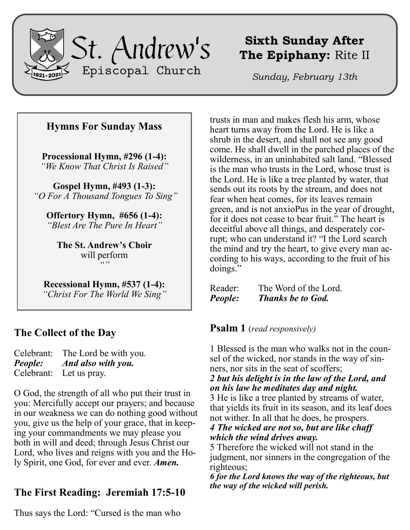

# **Sixth Sunday After The Epiphany:** Rite II

*Sunday, February 13th*

# **Hymns For Sunday Mass**

**Processional Hymn, #296 (1-4):** *"We Know That Christ Is Raised"*

**Gospel Hymn, #493 (1-3):** *"O For A Thousand Tongues To Sing"*

**Offertory Hymn, #656 (1-4):** *"Blest Are The Pure In Heart"*

**The St. Andrew's Choir** will perform *""*

**Recessional Hymn, #537 (1-4):** *"Christ For The World We Sing"*

# **The Collect of the Day**

Celebrant: The Lord be with you. *People: And also with you.* Celebrant: Let us pray.

O God, the strength of all who put their trust in you: Mercifully accept our prayers; and because in our weakness we can do nothing good without you, give us the help of your grace, that in keeping your commandments we may please you both in will and deed; through Jesus Christ our Lord, who lives and reigns with you and the Holy Spirit, one God, for ever and ever. *Amen.*

# **The First Reading: Jeremiah 17:5-10**

Thus says the Lord: "Cursed is the man who

trusts in man and makes flesh his arm, whose heart turns away from the Lord. He is like a shrub in the desert, and shall not see any good come. He shall dwell in the parched places of the wilderness, in an uninhabited salt land. "Blessed is the man who trusts in the Lord, whose trust is the Lord. He is like a tree planted by water, that sends out its roots by the stream, and does not fear when heat comes, for its leaves remain green, and is not anxioPus in the year of drought, for it does not cease to bear fruit." The heart is deceitful above all things, and desperately corrupt; who can understand it? "I the Lord search the mind and try the heart, to give every man according to his ways, according to the fruit of his doings."

Reader: The Word of the Lord. *People: Thanks be to God.*

**Psalm 1** (*read responsively)*

1 Blessed is the man who walks not in the counsel of the wicked, nor stands in the way of sinners, nor sits in the seat of scoffers;

#### *2 but his delight is in the law of the Lord, and on his law he meditates day and night.*

3 He is like a tree planted by streams of water, that yields its fruit in its season, and its leaf does not wither. In all that he does, he prospers.

*4 The wicked are not so, but are like chaff which the wind drives away.*

5 Therefore the wicked will not stand in the judgment, nor sinners in the congregation of the righteous;

*6 for the Lord knows the way of the righteous, but the way of the wicked will perish.*